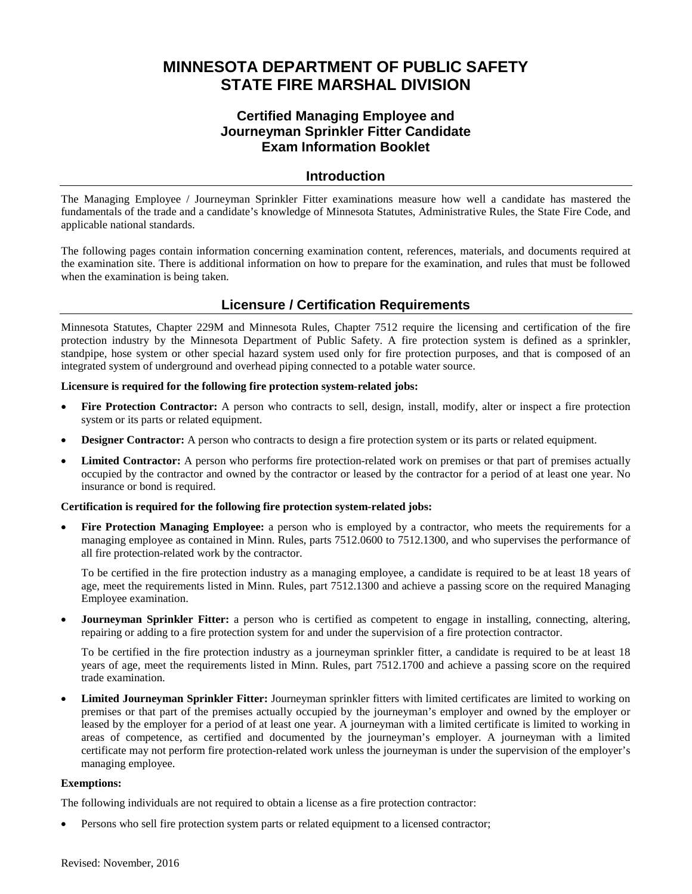## **MINNESOTA DEPARTMENT OF PUBLIC SAFETY STATE FIRE MARSHAL DIVISION**

## **Certified Managing Employee and Journeyman Sprinkler Fitter Candidate Exam Information Booklet**

#### **Introduction**

The Managing Employee / Journeyman Sprinkler Fitter examinations measure how well a candidate has mastered the fundamentals of the trade and a candidate's knowledge of Minnesota Statutes, Administrative Rules, the State Fire Code, and applicable national standards.

The following pages contain information concerning examination content, references, materials, and documents required at the examination site. There is additional information on how to prepare for the examination, and rules that must be followed when the examination is being taken.

## **Licensure / Certification Requirements**

Minnesota Statutes, Chapter 229M and Minnesota Rules, Chapter 7512 require the licensing and certification of the fire protection industry by the Minnesota Department of Public Safety. A fire protection system is defined as a sprinkler, standpipe, hose system or other special hazard system used only for fire protection purposes, and that is composed of an integrated system of underground and overhead piping connected to a potable water source.

#### **Licensure is required for the following fire protection system-related jobs:**

- **Fire Protection Contractor:** A person who contracts to sell, design, install, modify, alter or inspect a fire protection system or its parts or related equipment.
- **Designer Contractor:** A person who contracts to design a fire protection system or its parts or related equipment.
- **Limited Contractor:** A person who performs fire protection-related work on premises or that part of premises actually occupied by the contractor and owned by the contractor or leased by the contractor for a period of at least one year. No insurance or bond is required.

#### **Certification is required for the following fire protection system-related jobs:**

**Fire Protection Managing Employee:** a person who is employed by a contractor, who meets the requirements for a managing employee as contained in Minn. Rules, parts 7512.0600 to 7512.1300, and who supervises the performance of all fire protection-related work by the contractor.

To be certified in the fire protection industry as a managing employee, a candidate is required to be at least 18 years of age, meet the requirements listed in Minn. Rules, part 7512.1300 and achieve a passing score on the required Managing Employee examination.

• **Journeyman Sprinkler Fitter:** a person who is certified as competent to engage in installing, connecting, altering, repairing or adding to a fire protection system for and under the supervision of a fire protection contractor.

To be certified in the fire protection industry as a journeyman sprinkler fitter, a candidate is required to be at least 18 years of age, meet the requirements listed in Minn. Rules, part 7512.1700 and achieve a passing score on the required trade examination.

• **Limited Journeyman Sprinkler Fitter:** Journeyman sprinkler fitters with limited certificates are limited to working on premises or that part of the premises actually occupied by the journeyman's employer and owned by the employer or leased by the employer for a period of at least one year. A journeyman with a limited certificate is limited to working in areas of competence, as certified and documented by the journeyman's employer. A journeyman with a limited certificate may not perform fire protection-related work unless the journeyman is under the supervision of the employer's managing employee.

#### **Exemptions:**

The following individuals are not required to obtain a license as a fire protection contractor:

• Persons who sell fire protection system parts or related equipment to a licensed contractor;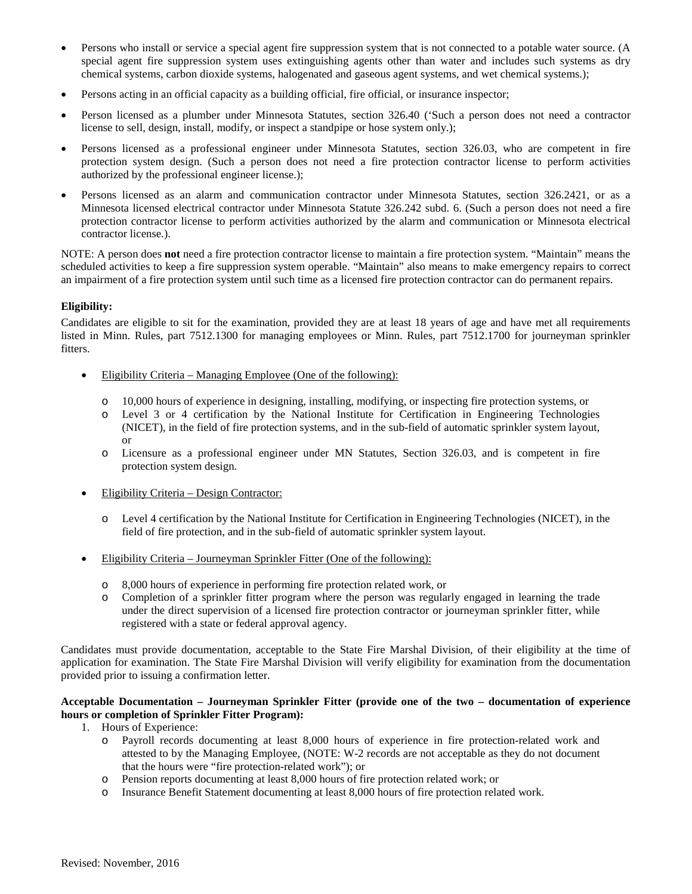- Persons who install or service a special agent fire suppression system that is not connected to a potable water source. (A special agent fire suppression system uses extinguishing agents other than water and includes such systems as dry chemical systems, carbon dioxide systems, halogenated and gaseous agent systems, and wet chemical systems.);
- Persons acting in an official capacity as a building official, fire official, or insurance inspector;
- Person licensed as a plumber under Minnesota Statutes, section 326.40 ('Such a person does not need a contractor license to sell, design, install, modify, or inspect a standpipe or hose system only.);
- Persons licensed as a professional engineer under Minnesota Statutes, section 326.03, who are competent in fire protection system design. (Such a person does not need a fire protection contractor license to perform activities authorized by the professional engineer license.);
- Persons licensed as an alarm and communication contractor under Minnesota Statutes, section 326.2421, or as a Minnesota licensed electrical contractor under Minnesota Statute 326.242 subd. 6. (Such a person does not need a fire protection contractor license to perform activities authorized by the alarm and communication or Minnesota electrical contractor license.).

NOTE: A person does **not** need a fire protection contractor license to maintain a fire protection system. "Maintain" means the scheduled activities to keep a fire suppression system operable. "Maintain" also means to make emergency repairs to correct an impairment of a fire protection system until such time as a licensed fire protection contractor can do permanent repairs.

#### **Eligibility:**

Candidates are eligible to sit for the examination, provided they are at least 18 years of age and have met all requirements listed in Minn. Rules, part 7512.1300 for managing employees or Minn. Rules, part 7512.1700 for journeyman sprinkler fitters.

- Eligibility Criteria Managing Employee (One of the following):
	- o 10,000 hours of experience in designing, installing, modifying, or inspecting fire protection systems, or
	- o Level 3 or 4 certification by the National Institute for Certification in Engineering Technologies (NICET), in the field of fire protection systems, and in the sub-field of automatic sprinkler system layout, or
	- o Licensure as a professional engineer under MN Statutes, Section 326.03, and is competent in fire protection system design.
- Eligibility Criteria Design Contractor:
	- o Level 4 certification by the National Institute for Certification in Engineering Technologies (NICET), in the field of fire protection, and in the sub-field of automatic sprinkler system layout.
- Eligibility Criteria Journeyman Sprinkler Fitter (One of the following):
	- o 8,000 hours of experience in performing fire protection related work, or
	- o Completion of a sprinkler fitter program where the person was regularly engaged in learning the trade under the direct supervision of a licensed fire protection contractor or journeyman sprinkler fitter, while registered with a state or federal approval agency.

Candidates must provide documentation, acceptable to the State Fire Marshal Division, of their eligibility at the time of application for examination. The State Fire Marshal Division will verify eligibility for examination from the documentation provided prior to issuing a confirmation letter.

#### **Acceptable Documentation – Journeyman Sprinkler Fitter (provide one of the two – documentation of experience hours or completion of Sprinkler Fitter Program):**

- 1. Hours of Experience:
	- o Payroll records documenting at least 8,000 hours of experience in fire protection-related work and attested to by the Managing Employee, (NOTE: W-2 records are not acceptable as they do not document that the hours were "fire protection-related work"); or
	- o Pension reports documenting at least 8,000 hours of fire protection related work; or
	- o Insurance Benefit Statement documenting at least 8,000 hours of fire protection related work.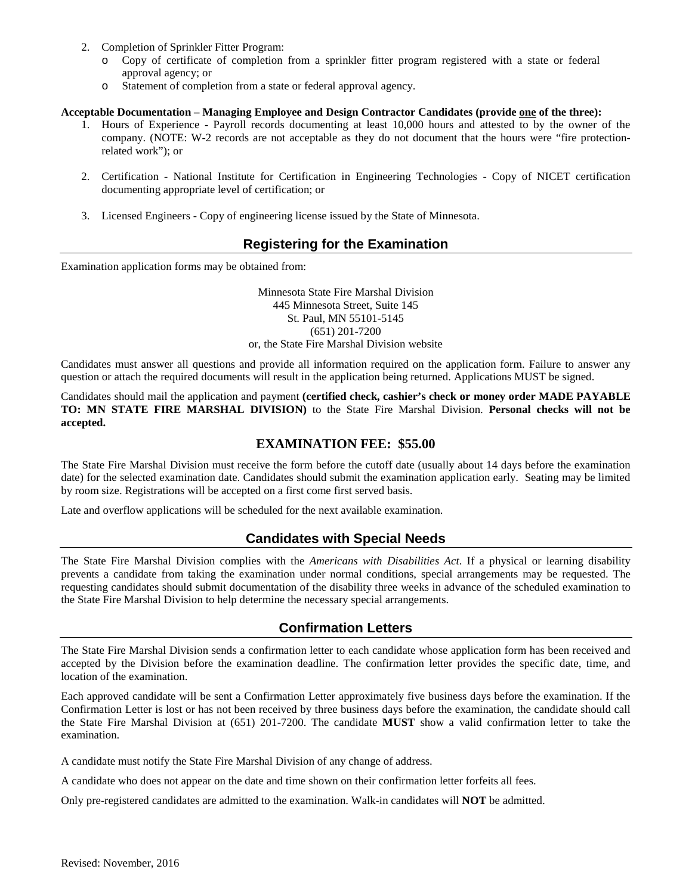- 2. Completion of Sprinkler Fitter Program:
	- o Copy of certificate of completion from a sprinkler fitter program registered with a state or federal approval agency; or
	- o Statement of completion from a state or federal approval agency.

#### **Acceptable Documentation – Managing Employee and Design Contractor Candidates (provide one of the three):**

- 1. Hours of Experience Payroll records documenting at least 10,000 hours and attested to by the owner of the company. (NOTE: W-2 records are not acceptable as they do not document that the hours were "fire protectionrelated work"); or
- 2. Certification National Institute for Certification in Engineering Technologies Copy of NICET certification documenting appropriate level of certification; or
- 3. Licensed Engineers Copy of engineering license issued by the State of Minnesota.

## **Registering for the Examination**

Examination application forms may be obtained from:

Minnesota State Fire Marshal Division 445 Minnesota Street, Suite 145 St. Paul, MN 55101-5145 (651) 201-7200 or, the State Fire Marshal Division website

Candidates must answer all questions and provide all information required on the application form. Failure to answer any question or attach the required documents will result in the application being returned. Applications MUST be signed.

Candidates should mail the application and payment **(certified check, cashier's check or money order MADE PAYABLE TO: MN STATE FIRE MARSHAL DIVISION)** to the State Fire Marshal Division. **Personal checks will not be accepted.**

#### **EXAMINATION FEE: \$55.00**

The State Fire Marshal Division must receive the form before the cutoff date (usually about 14 days before the examination date) for the selected examination date. Candidates should submit the examination application early. Seating may be limited by room size. Registrations will be accepted on a first come first served basis.

Late and overflow applications will be scheduled for the next available examination.

## **Candidates with Special Needs**

The State Fire Marshal Division complies with the *Americans with Disabilities Act*. If a physical or learning disability prevents a candidate from taking the examination under normal conditions, special arrangements may be requested. The requesting candidates should submit documentation of the disability three weeks in advance of the scheduled examination to the State Fire Marshal Division to help determine the necessary special arrangements.

#### **Confirmation Letters**

The State Fire Marshal Division sends a confirmation letter to each candidate whose application form has been received and accepted by the Division before the examination deadline. The confirmation letter provides the specific date, time, and location of the examination.

Each approved candidate will be sent a Confirmation Letter approximately five business days before the examination. If the Confirmation Letter is lost or has not been received by three business days before the examination, the candidate should call the State Fire Marshal Division at (651) 201-7200. The candidate **MUST** show a valid confirmation letter to take the examination.

A candidate must notify the State Fire Marshal Division of any change of address.

A candidate who does not appear on the date and time shown on their confirmation letter forfeits all fees.

Only pre-registered candidates are admitted to the examination. Walk-in candidates will **NOT** be admitted.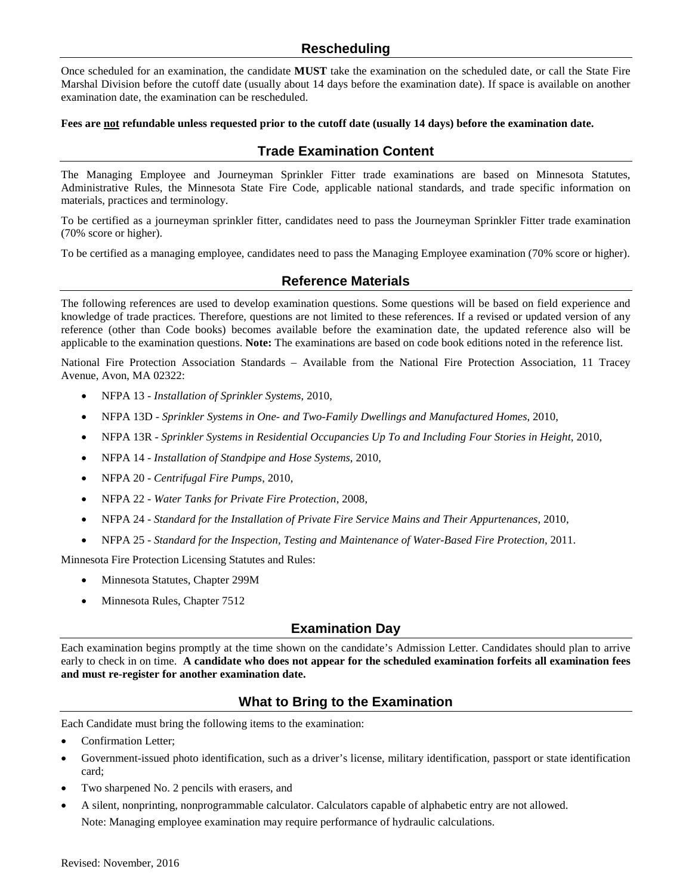## **Rescheduling**

Once scheduled for an examination, the candidate **MUST** take the examination on the scheduled date, or call the State Fire Marshal Division before the cutoff date (usually about 14 days before the examination date). If space is available on another examination date, the examination can be rescheduled.

#### **Fees are not refundable unless requested prior to the cutoff date (usually 14 days) before the examination date.**

## **Trade Examination Content**

The Managing Employee and Journeyman Sprinkler Fitter trade examinations are based on Minnesota Statutes, Administrative Rules, the Minnesota State Fire Code, applicable national standards, and trade specific information on materials, practices and terminology.

To be certified as a journeyman sprinkler fitter, candidates need to pass the Journeyman Sprinkler Fitter trade examination (70% score or higher).

To be certified as a managing employee, candidates need to pass the Managing Employee examination (70% score or higher).

## **Reference Materials**

The following references are used to develop examination questions. Some questions will be based on field experience and knowledge of trade practices. Therefore, questions are not limited to these references. If a revised or updated version of any reference (other than Code books) becomes available before the examination date, the updated reference also will be applicable to the examination questions. **Note:** The examinations are based on code book editions noted in the reference list.

National Fire Protection Association Standards – Available from the National Fire Protection Association, 11 Tracey Avenue, Avon, MA 02322:

- NFPA 13 *Installation of Sprinkler Systems*, 2010,
- NFPA 13D *Sprinkler Systems in One- and Two-Family Dwellings and Manufactured Homes*, 2010,
- NFPA 13R *Sprinkler Systems in Residential Occupancies Up To and Including Four Stories in Height*, 2010,
- NFPA 14 *Installation of Standpipe and Hose Systems*, 2010,
- NFPA 20 *Centrifugal Fire Pumps*, 2010,
- NFPA 22 *Water Tanks for Private Fire Protection*, 2008,
- NFPA 24 *Standard for the Installation of Private Fire Service Mains and Their Appurtenances,* 2010,
- NFPA 25 *Standard for the Inspection, Testing and Maintenance of Water-Based Fire Protection*, 2011.

Minnesota Fire Protection Licensing Statutes and Rules:

- Minnesota Statutes, Chapter 299M
- Minnesota Rules, Chapter 7512

## **Examination Day**

Each examination begins promptly at the time shown on the candidate's Admission Letter. Candidates should plan to arrive early to check in on time. **A candidate who does not appear for the scheduled examination forfeits all examination fees and must re-register for another examination date.**

## **What to Bring to the Examination**

Each Candidate must bring the following items to the examination:

- Confirmation Letter;
- Government-issued photo identification, such as a driver's license, military identification, passport or state identification card;
- Two sharpened No. 2 pencils with erasers, and
- A silent, nonprinting, nonprogrammable calculator. Calculators capable of alphabetic entry are not allowed. Note: Managing employee examination may require performance of hydraulic calculations.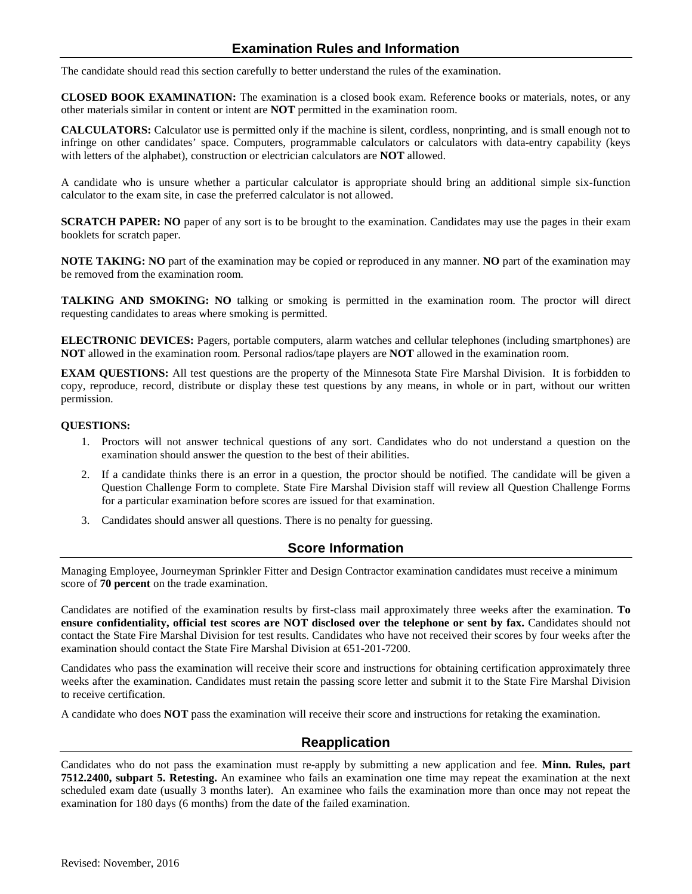## **Examination Rules and Information**

The candidate should read this section carefully to better understand the rules of the examination.

**CLOSED BOOK EXAMINATION:** The examination is a closed book exam. Reference books or materials, notes, or any other materials similar in content or intent are **NOT** permitted in the examination room.

**CALCULATORS:** Calculator use is permitted only if the machine is silent, cordless, nonprinting, and is small enough not to infringe on other candidates' space. Computers, programmable calculators or calculators with data-entry capability (keys with letters of the alphabet), construction or electrician calculators are **NOT** allowed.

A candidate who is unsure whether a particular calculator is appropriate should bring an additional simple six-function calculator to the exam site, in case the preferred calculator is not allowed.

**SCRATCH PAPER:** NO paper of any sort is to be brought to the examination. Candidates may use the pages in their exam booklets for scratch paper.

**NOTE TAKING: NO** part of the examination may be copied or reproduced in any manner. **NO** part of the examination may be removed from the examination room.

**TALKING AND SMOKING: NO** talking or smoking is permitted in the examination room. The proctor will direct requesting candidates to areas where smoking is permitted.

**ELECTRONIC DEVICES:** Pagers, portable computers, alarm watches and cellular telephones (including smartphones) are **NOT** allowed in the examination room. Personal radios/tape players are **NOT** allowed in the examination room.

**EXAM QUESTIONS:** All test questions are the property of the Minnesota State Fire Marshal Division. It is forbidden to copy, reproduce, record, distribute or display these test questions by any means, in whole or in part, without our written permission.

#### **QUESTIONS:**

- 1. Proctors will not answer technical questions of any sort. Candidates who do not understand a question on the examination should answer the question to the best of their abilities.
- 2. If a candidate thinks there is an error in a question, the proctor should be notified. The candidate will be given a Question Challenge Form to complete. State Fire Marshal Division staff will review all Question Challenge Forms for a particular examination before scores are issued for that examination.
- 3. Candidates should answer all questions. There is no penalty for guessing.

## **Score Information**

Managing Employee, Journeyman Sprinkler Fitter and Design Contractor examination candidates must receive a minimum score of **70 percent** on the trade examination.

Candidates are notified of the examination results by first-class mail approximately three weeks after the examination. **To ensure confidentiality, official test scores are NOT disclosed over the telephone or sent by fax.** Candidates should not contact the State Fire Marshal Division for test results. Candidates who have not received their scores by four weeks after the examination should contact the State Fire Marshal Division at 651-201-7200.

Candidates who pass the examination will receive their score and instructions for obtaining certification approximately three weeks after the examination. Candidates must retain the passing score letter and submit it to the State Fire Marshal Division to receive certification.

A candidate who does **NOT** pass the examination will receive their score and instructions for retaking the examination.

## **Reapplication**

Candidates who do not pass the examination must re-apply by submitting a new application and fee. **Minn. Rules, part 7512.2400, subpart 5. Retesting.** An examinee who fails an examination one time may repeat the examination at the next scheduled exam date (usually 3 months later). An examinee who fails the examination more than once may not repeat the examination for 180 days (6 months) from the date of the failed examination.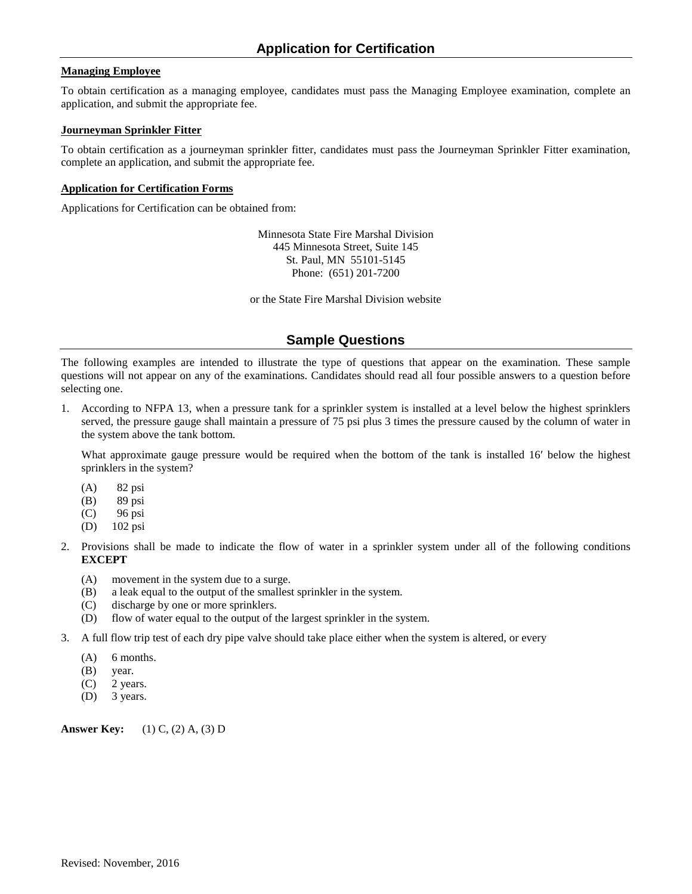#### **Managing Employee**

To obtain certification as a managing employee, candidates must pass the Managing Employee examination, complete an application, and submit the appropriate fee.

#### **Journeyman Sprinkler Fitter**

To obtain certification as a journeyman sprinkler fitter, candidates must pass the Journeyman Sprinkler Fitter examination, complete an application, and submit the appropriate fee.

#### **Application for Certification Forms**

Applications for Certification can be obtained from:

Minnesota State Fire Marshal Division 445 Minnesota Street, Suite 145 St. Paul, MN 55101-5145 Phone: (651) 201-7200

or the State Fire Marshal Division website

#### **Sample Questions**

The following examples are intended to illustrate the type of questions that appear on the examination. These sample questions will not appear on any of the examinations. Candidates should read all four possible answers to a question before selecting one.

1. According to NFPA 13, when a pressure tank for a sprinkler system is installed at a level below the highest sprinklers served, the pressure gauge shall maintain a pressure of 75 psi plus 3 times the pressure caused by the column of water in the system above the tank bottom.

What approximate gauge pressure would be required when the bottom of the tank is installed 16' below the highest sprinklers in the system?

- (A) 82 psi
- (B) 89 psi
- (C) 96 psi
- (D) 102 psi
- 2. Provisions shall be made to indicate the flow of water in a sprinkler system under all of the following conditions **EXCEPT**
	- (A) movement in the system due to a surge.
	- (B) a leak equal to the output of the smallest sprinkler in the system.
	- (C) discharge by one or more sprinklers.
	- (D) flow of water equal to the output of the largest sprinkler in the system.
- 3. A full flow trip test of each dry pipe valve should take place either when the system is altered, or every
	- $(A)$  6 months.
	- (B) year.
	- (C) 2 years.
	- (D) 3 years.

**Answer Key:** (1) C, (2) A, (3) D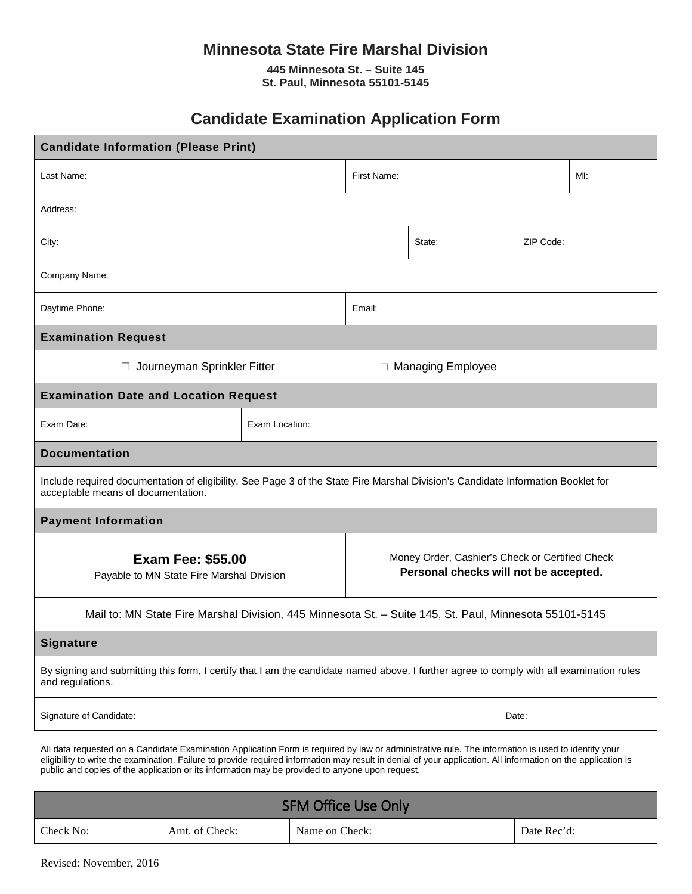## **Minnesota State Fire Marshal Division**

**445 Minnesota St. – Suite 145 St. Paul, Minnesota 55101-5145**

# **Candidate Examination Application Form**

| <b>Candidate Information (Please Print)</b>                                                                                                                            |                |                                                                                          |  |  |     |
|------------------------------------------------------------------------------------------------------------------------------------------------------------------------|----------------|------------------------------------------------------------------------------------------|--|--|-----|
| Last Name:                                                                                                                                                             |                | First Name:                                                                              |  |  | MI: |
| Address:                                                                                                                                                               |                |                                                                                          |  |  |     |
| City:                                                                                                                                                                  |                | State:<br>ZIP Code:                                                                      |  |  |     |
| Company Name:                                                                                                                                                          |                |                                                                                          |  |  |     |
| Daytime Phone:                                                                                                                                                         | Email:         |                                                                                          |  |  |     |
| <b>Examination Request</b>                                                                                                                                             |                |                                                                                          |  |  |     |
| Journeyman Sprinkler Fitter<br>□ Managing Employee<br>$\Box$                                                                                                           |                |                                                                                          |  |  |     |
| <b>Examination Date and Location Request</b>                                                                                                                           |                |                                                                                          |  |  |     |
| Exam Date:                                                                                                                                                             | Exam Location: |                                                                                          |  |  |     |
| <b>Documentation</b>                                                                                                                                                   |                |                                                                                          |  |  |     |
| Include required documentation of eligibility. See Page 3 of the State Fire Marshal Division's Candidate Information Booklet for<br>acceptable means of documentation. |                |                                                                                          |  |  |     |
| <b>Payment Information</b>                                                                                                                                             |                |                                                                                          |  |  |     |
| <b>Exam Fee: \$55.00</b><br>Payable to MN State Fire Marshal Division                                                                                                  |                | Money Order, Cashier's Check or Certified Check<br>Personal checks will not be accepted. |  |  |     |
| Mail to: MN State Fire Marshal Division, 445 Minnesota St. - Suite 145, St. Paul, Minnesota 55101-5145                                                                 |                |                                                                                          |  |  |     |
| <b>Signature</b>                                                                                                                                                       |                |                                                                                          |  |  |     |
| By signing and submitting this form, I certify that I am the candidate named above. I further agree to comply with all examination rules<br>and regulations.           |                |                                                                                          |  |  |     |
| Signature of Candidate:<br>Date:                                                                                                                                       |                |                                                                                          |  |  |     |
| All data requested on a Candidate Examination Application Form is required by law or administrative rule. The information is used to identify your                     |                |                                                                                          |  |  |     |

eligibility to write the examination. Failure to provide required information may result in denial of your application. All information on the application is public and copies of the application or its information may be provided to anyone upon request.

| <b>SFM Office Use Only</b> |                |                |             |  |  |
|----------------------------|----------------|----------------|-------------|--|--|
| Check No:                  | Amt. of Check: | Name on Check: | Date Rec'd: |  |  |

Revised: November, 2016